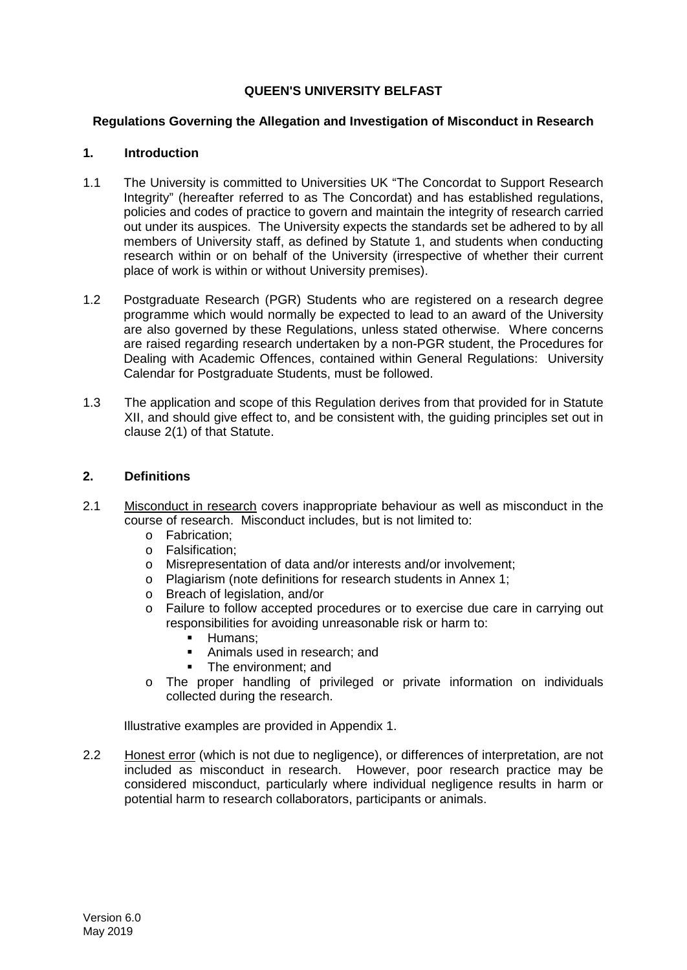# **QUEEN'S UNIVERSITY BELFAST**

# **Regulations Governing the Allegation and Investigation of Misconduct in Research**

# **1. Introduction**

- 1.1 The University is committed to Universities UK "The Concordat to Support Research Integrity" (hereafter referred to as The Concordat) and has established regulations, policies and codes of practice to govern and maintain the integrity of research carried out under its auspices. The University expects the standards set be adhered to by all members of University staff, as defined by Statute 1, and students when conducting research within or on behalf of the University (irrespective of whether their current place of work is within or without University premises).
- 1.2 Postgraduate Research (PGR) Students who are registered on a research degree programme which would normally be expected to lead to an award of the University are also governed by these Regulations, unless stated otherwise. Where concerns are raised regarding research undertaken by a non-PGR student, the Procedures for Dealing with Academic Offences, contained within General Regulations: University Calendar for Postgraduate Students, must be followed.
- 1.3 The application and scope of this Regulation derives from that provided for in Statute XII, and should give effect to, and be consistent with, the guiding principles set out in clause 2(1) of that Statute.

# **2. Definitions**

- 2.1 Misconduct in research covers inappropriate behaviour as well as misconduct in the course of research. Misconduct includes, but is not limited to:
	- o Fabrication;
	- o Falsification;
	- o Misrepresentation of data and/or interests and/or involvement;
	- o Plagiarism (note definitions for research students in Annex 1;
	- o Breach of legislation, and/or
	- o Failure to follow accepted procedures or to exercise due care in carrying out responsibilities for avoiding unreasonable risk or harm to:
		- $\blacksquare$  Humans;
		- Animals used in research; and
		- The environment; and
	- o The proper handling of privileged or private information on individuals collected during the research.

Illustrative examples are provided in Appendix 1.

2.2 Honest error (which is not due to negligence), or differences of interpretation, are not included as misconduct in research. However, poor research practice may be considered misconduct, particularly where individual negligence results in harm or potential harm to research collaborators, participants or animals.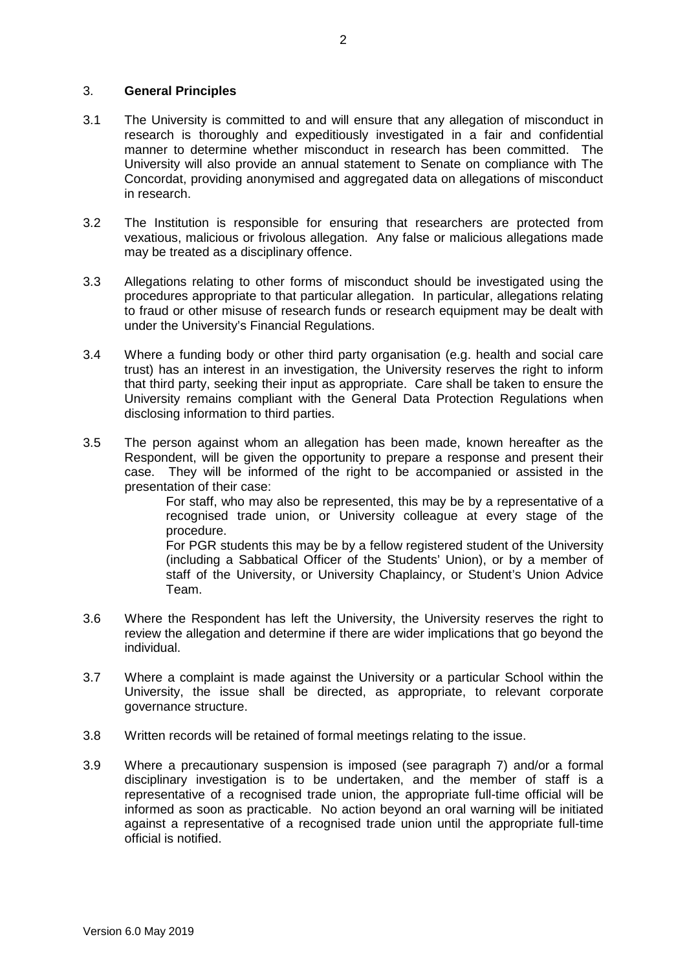### 3. **General Principles**

- 3.1 The University is committed to and will ensure that any allegation of misconduct in research is thoroughly and expeditiously investigated in a fair and confidential manner to determine whether misconduct in research has been committed. The University will also provide an annual statement to Senate on compliance with The Concordat, providing anonymised and aggregated data on allegations of misconduct in research.
- 3.2 The Institution is responsible for ensuring that researchers are protected from vexatious, malicious or frivolous allegation. Any false or malicious allegations made may be treated as a disciplinary offence.
- 3.3 Allegations relating to other forms of misconduct should be investigated using the procedures appropriate to that particular allegation. In particular, allegations relating to fraud or other misuse of research funds or research equipment may be dealt with under the University's Financial Regulations.
- 3.4 Where a funding body or other third party organisation (e.g. health and social care trust) has an interest in an investigation, the University reserves the right to inform that third party, seeking their input as appropriate. Care shall be taken to ensure the University remains compliant with the General Data Protection Regulations when disclosing information to third parties.
- 3.5 The person against whom an allegation has been made, known hereafter as the Respondent, will be given the opportunity to prepare a response and present their case. They will be informed of the right to be accompanied or assisted in the presentation of their case:

For staff, who may also be represented, this may be by a representative of a recognised trade union, or University colleague at every stage of the procedure.

For PGR students this may be by a fellow registered student of the University (including a Sabbatical Officer of the Students' Union), or by a member of staff of the University, or University Chaplaincy, or Student's Union Advice Team.

- 3.6 Where the Respondent has left the University, the University reserves the right to review the allegation and determine if there are wider implications that go beyond the individual.
- 3.7 Where a complaint is made against the University or a particular School within the University, the issue shall be directed, as appropriate, to relevant corporate governance structure.
- 3.8 Written records will be retained of formal meetings relating to the issue.
- 3.9 Where a precautionary suspension is imposed (see paragraph 7) and/or a formal disciplinary investigation is to be undertaken, and the member of staff is a representative of a recognised trade union, the appropriate full-time official will be informed as soon as practicable. No action beyond an oral warning will be initiated against a representative of a recognised trade union until the appropriate full-time official is notified.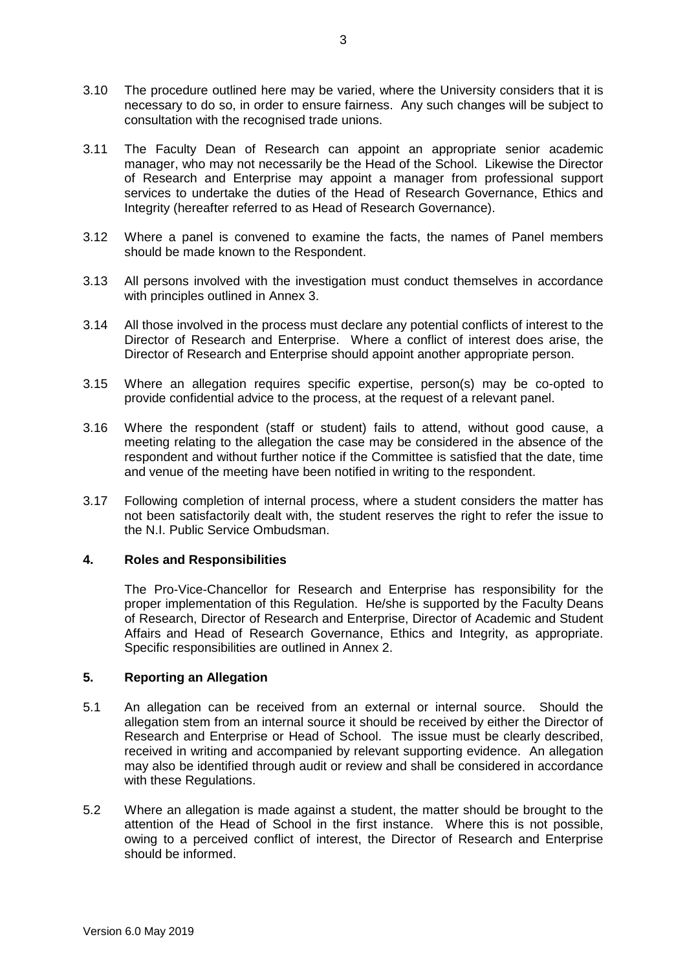- 3.10 The procedure outlined here may be varied, where the University considers that it is necessary to do so, in order to ensure fairness. Any such changes will be subject to consultation with the recognised trade unions.
- 3.11 The Faculty Dean of Research can appoint an appropriate senior academic manager, who may not necessarily be the Head of the School. Likewise the Director of Research and Enterprise may appoint a manager from professional support services to undertake the duties of the Head of Research Governance, Ethics and Integrity (hereafter referred to as Head of Research Governance).
- 3.12 Where a panel is convened to examine the facts, the names of Panel members should be made known to the Respondent.
- 3.13 All persons involved with the investigation must conduct themselves in accordance with principles outlined in Annex 3.
- 3.14 All those involved in the process must declare any potential conflicts of interest to the Director of Research and Enterprise. Where a conflict of interest does arise, the Director of Research and Enterprise should appoint another appropriate person.
- 3.15 Where an allegation requires specific expertise, person(s) may be co-opted to provide confidential advice to the process, at the request of a relevant panel.
- 3.16 Where the respondent (staff or student) fails to attend, without good cause, a meeting relating to the allegation the case may be considered in the absence of the respondent and without further notice if the Committee is satisfied that the date, time and venue of the meeting have been notified in writing to the respondent.
- 3.17 Following completion of internal process, where a student considers the matter has not been satisfactorily dealt with, the student reserves the right to refer the issue to the N.I. Public Service Ombudsman.

# **4. Roles and Responsibilities**

The Pro-Vice-Chancellor for Research and Enterprise has responsibility for the proper implementation of this Regulation. He/she is supported by the Faculty Deans of Research, Director of Research and Enterprise, Director of Academic and Student Affairs and Head of Research Governance, Ethics and Integrity, as appropriate. Specific responsibilities are outlined in Annex 2.

### **5. Reporting an Allegation**

- 5.1 An allegation can be received from an external or internal source. Should the allegation stem from an internal source it should be received by either the Director of Research and Enterprise or Head of School. The issue must be clearly described, received in writing and accompanied by relevant supporting evidence. An allegation may also be identified through audit or review and shall be considered in accordance with these Regulations.
- 5.2 Where an allegation is made against a student, the matter should be brought to the attention of the Head of School in the first instance. Where this is not possible, owing to a perceived conflict of interest, the Director of Research and Enterprise should be informed.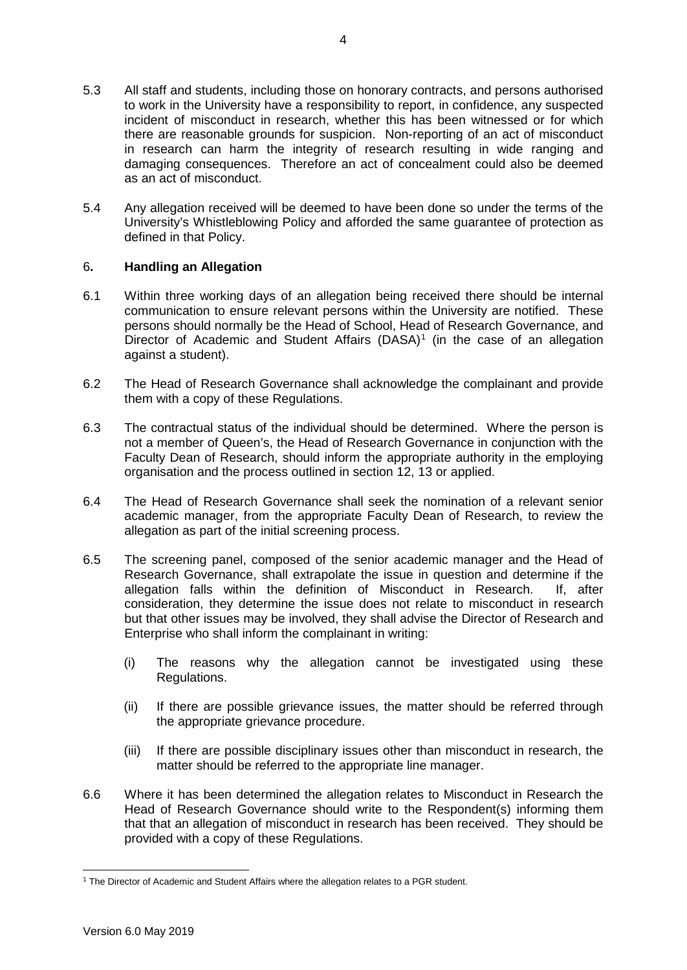- 5.3 All staff and students, including those on honorary contracts, and persons authorised to work in the University have a responsibility to report, in confidence, any suspected incident of misconduct in research, whether this has been witnessed or for which there are reasonable grounds for suspicion. Non-reporting of an act of misconduct in research can harm the integrity of research resulting in wide ranging and damaging consequences. Therefore an act of concealment could also be deemed as an act of misconduct.
- 5.4 Any allegation received will be deemed to have been done so under the terms of the University's Whistleblowing Policy and afforded the same guarantee of protection as defined in that Policy.

# 6**. Handling an Allegation**

- 6.1 Within three working days of an allegation being received there should be internal communication to ensure relevant persons within the University are notified. These persons should normally be the Head of School, Head of Research Governance, and Director of Academic and Student Affairs  $(DASA)^1$  $(DASA)^1$  (in the case of an allegation against a student).
- 6.2 The Head of Research Governance shall acknowledge the complainant and provide them with a copy of these Regulations.
- 6.3 The contractual status of the individual should be determined. Where the person is not a member of Queen's, the Head of Research Governance in conjunction with the Faculty Dean of Research, should inform the appropriate authority in the employing organisation and the process outlined in section 12, 13 or applied.
- 6.4 The Head of Research Governance shall seek the nomination of a relevant senior academic manager, from the appropriate Faculty Dean of Research, to review the allegation as part of the initial screening process.
- 6.5 The screening panel, composed of the senior academic manager and the Head of Research Governance, shall extrapolate the issue in question and determine if the allegation falls within the definition of Misconduct in Research. If after allegation falls within the definition of Misconduct in Research. consideration, they determine the issue does not relate to misconduct in research but that other issues may be involved, they shall advise the Director of Research and Enterprise who shall inform the complainant in writing:
	- (i) The reasons why the allegation cannot be investigated using these Regulations.
	- (ii) If there are possible grievance issues, the matter should be referred through the appropriate grievance procedure.
	- (iii) If there are possible disciplinary issues other than misconduct in research, the matter should be referred to the appropriate line manager.
- 6.6 Where it has been determined the allegation relates to Misconduct in Research the Head of Research Governance should write to the Respondent(s) informing them that that an allegation of misconduct in research has been received. They should be provided with a copy of these Regulations.

<span id="page-3-0"></span><sup>-</sup><sup>1</sup> The Director of Academic and Student Affairs where the allegation relates to a PGR student.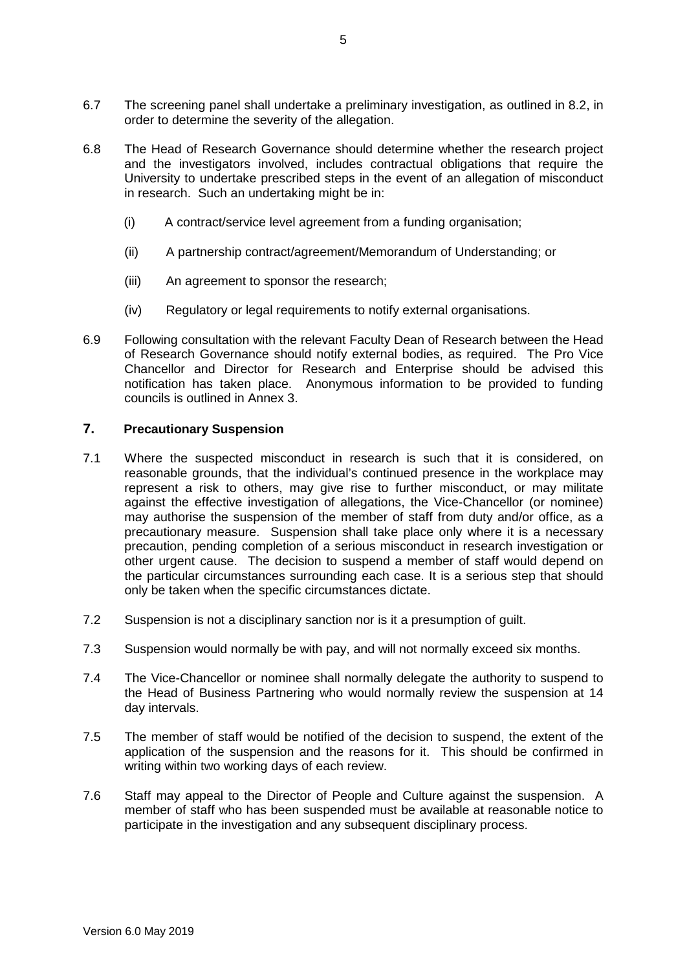- 6.7 The screening panel shall undertake a preliminary investigation, as outlined in 8.2, in order to determine the severity of the allegation.
- 6.8 The Head of Research Governance should determine whether the research project and the investigators involved, includes contractual obligations that require the University to undertake prescribed steps in the event of an allegation of misconduct in research. Such an undertaking might be in:
	- (i) A contract/service level agreement from a funding organisation;
	- (ii) A partnership contract/agreement/Memorandum of Understanding; or
	- (iii) An agreement to sponsor the research;
	- (iv) Regulatory or legal requirements to notify external organisations.
- 6.9 Following consultation with the relevant Faculty Dean of Research between the Head of Research Governance should notify external bodies, as required. The Pro Vice Chancellor and Director for Research and Enterprise should be advised this notification has taken place. Anonymous information to be provided to funding councils is outlined in Annex 3.

## **7. Precautionary Suspension**

- 7.1 Where the suspected misconduct in research is such that it is considered, on reasonable grounds, that the individual's continued presence in the workplace may represent a risk to others, may give rise to further misconduct, or may militate against the effective investigation of allegations, the Vice-Chancellor (or nominee) may authorise the suspension of the member of staff from duty and/or office, as a precautionary measure. Suspension shall take place only where it is a necessary precaution, pending completion of a serious misconduct in research investigation or other urgent cause. The decision to suspend a member of staff would depend on the particular circumstances surrounding each case. It is a serious step that should only be taken when the specific circumstances dictate.
- 7.2 Suspension is not a disciplinary sanction nor is it a presumption of guilt.
- 7.3 Suspension would normally be with pay, and will not normally exceed six months.
- 7.4 The Vice-Chancellor or nominee shall normally delegate the authority to suspend to the Head of Business Partnering who would normally review the suspension at 14 day intervals.
- 7.5 The member of staff would be notified of the decision to suspend, the extent of the application of the suspension and the reasons for it. This should be confirmed in writing within two working days of each review.
- 7.6 Staff may appeal to the Director of People and Culture against the suspension. A member of staff who has been suspended must be available at reasonable notice to participate in the investigation and any subsequent disciplinary process.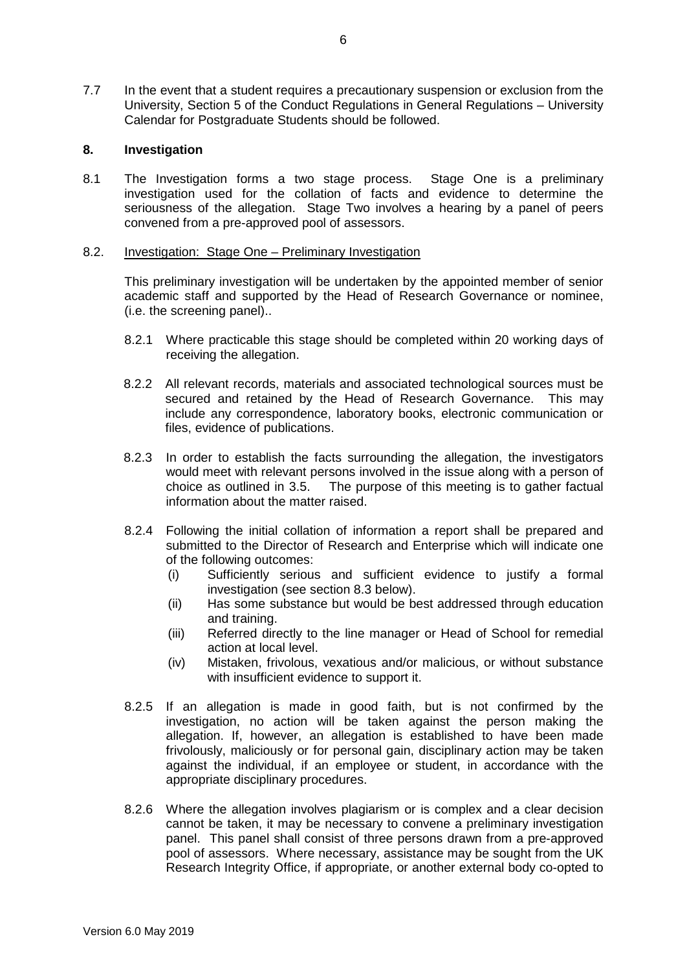7.7 In the event that a student requires a precautionary suspension or exclusion from the University, Section 5 of the Conduct Regulations in General Regulations – University Calendar for Postgraduate Students should be followed.

## **8. Investigation**

8.1 The Investigation forms a two stage process. Stage One is a preliminary investigation used for the collation of facts and evidence to determine the seriousness of the allegation. Stage Two involves a hearing by a panel of peers convened from a pre-approved pool of assessors.

### 8.2. Investigation: Stage One – Preliminary Investigation

This preliminary investigation will be undertaken by the appointed member of senior academic staff and supported by the Head of Research Governance or nominee, (i.e. the screening panel)..

- 8.2.1 Where practicable this stage should be completed within 20 working days of receiving the allegation.
- 8.2.2 All relevant records, materials and associated technological sources must be secured and retained by the Head of Research Governance. This may include any correspondence, laboratory books, electronic communication or files, evidence of publications.
- 8.2.3 In order to establish the facts surrounding the allegation, the investigators would meet with relevant persons involved in the issue along with a person of choice as outlined in 3.5. The purpose of this meeting is to gather factual information about the matter raised.
- 8.2.4 Following the initial collation of information a report shall be prepared and submitted to the Director of Research and Enterprise which will indicate one of the following outcomes:
	- (i) Sufficiently serious and sufficient evidence to justify a formal investigation (see section 8.3 below).
	- (ii) Has some substance but would be best addressed through education and training.
	- (iii) Referred directly to the line manager or Head of School for remedial action at local level.
	- (iv) Mistaken, frivolous, vexatious and/or malicious, or without substance with insufficient evidence to support it.
- 8.2.5 If an allegation is made in good faith, but is not confirmed by the investigation, no action will be taken against the person making the allegation. If, however, an allegation is established to have been made frivolously, maliciously or for personal gain, disciplinary action may be taken against the individual, if an employee or student, in accordance with the appropriate disciplinary procedures.
- 8.2.6 Where the allegation involves plagiarism or is complex and a clear decision cannot be taken, it may be necessary to convene a preliminary investigation panel. This panel shall consist of three persons drawn from a pre-approved pool of assessors. Where necessary, assistance may be sought from the UK Research Integrity Office, if appropriate, or another external body co-opted to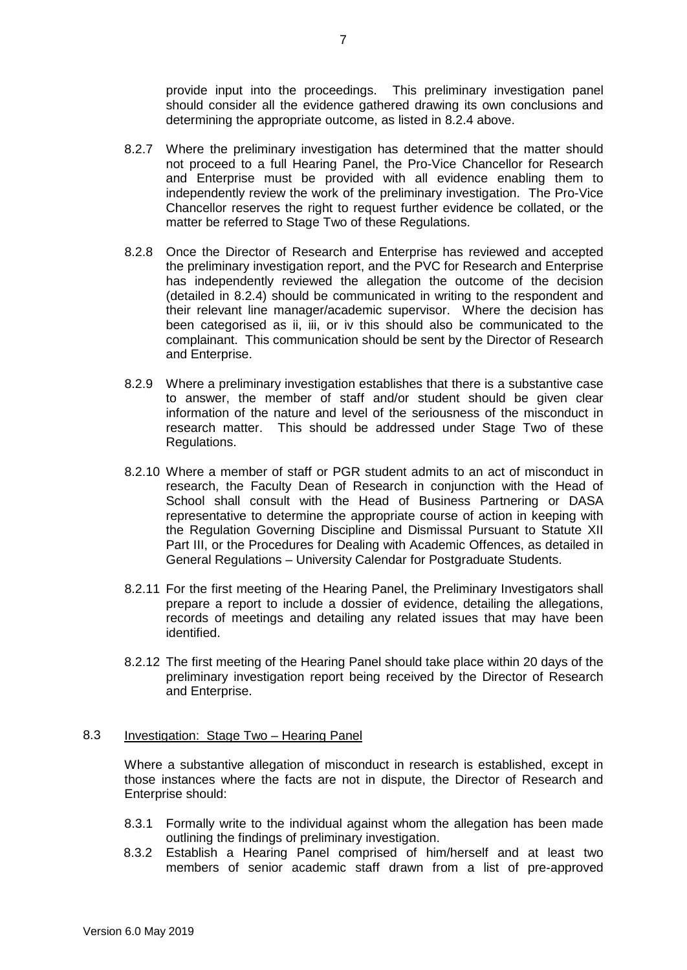provide input into the proceedings. This preliminary investigation panel should consider all the evidence gathered drawing its own conclusions and determining the appropriate outcome, as listed in 8.2.4 above.

- 8.2.7 Where the preliminary investigation has determined that the matter should not proceed to a full Hearing Panel, the Pro-Vice Chancellor for Research and Enterprise must be provided with all evidence enabling them to independently review the work of the preliminary investigation. The Pro-Vice Chancellor reserves the right to request further evidence be collated, or the matter be referred to Stage Two of these Regulations.
- 8.2.8 Once the Director of Research and Enterprise has reviewed and accepted the preliminary investigation report, and the PVC for Research and Enterprise has independently reviewed the allegation the outcome of the decision (detailed in 8.2.4) should be communicated in writing to the respondent and their relevant line manager/academic supervisor. Where the decision has been categorised as ii, iii, or iv this should also be communicated to the complainant. This communication should be sent by the Director of Research and Enterprise.
- 8.2.9 Where a preliminary investigation establishes that there is a substantive case to answer, the member of staff and/or student should be given clear information of the nature and level of the seriousness of the misconduct in research matter. This should be addressed under Stage Two of these Regulations.
- 8.2.10 Where a member of staff or PGR student admits to an act of misconduct in research, the Faculty Dean of Research in conjunction with the Head of School shall consult with the Head of Business Partnering or DASA representative to determine the appropriate course of action in keeping with the Regulation Governing Discipline and Dismissal Pursuant to Statute XII Part III, or the Procedures for Dealing with Academic Offences, as detailed in General Regulations – University Calendar for Postgraduate Students.
- 8.2.11 For the first meeting of the Hearing Panel, the Preliminary Investigators shall prepare a report to include a dossier of evidence, detailing the allegations, records of meetings and detailing any related issues that may have been identified.
- 8.2.12 The first meeting of the Hearing Panel should take place within 20 days of the preliminary investigation report being received by the Director of Research and Enterprise.

### 8.3 Investigation: Stage Two – Hearing Panel

Where a substantive allegation of misconduct in research is established, except in those instances where the facts are not in dispute, the Director of Research and Enterprise should:

- 8.3.1 Formally write to the individual against whom the allegation has been made outlining the findings of preliminary investigation.
- 8.3.2 Establish a Hearing Panel comprised of him/herself and at least two members of senior academic staff drawn from a list of pre-approved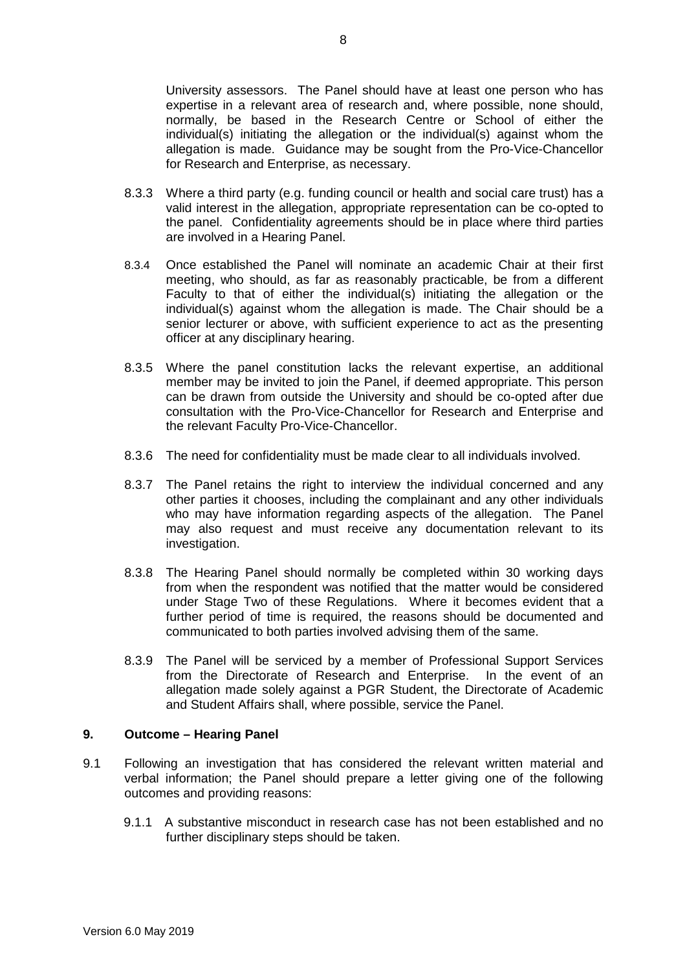University assessors. The Panel should have at least one person who has expertise in a relevant area of research and, where possible, none should, normally, be based in the Research Centre or School of either the individual(s) initiating the allegation or the individual(s) against whom the allegation is made. Guidance may be sought from the Pro-Vice-Chancellor for Research and Enterprise, as necessary.

- 8.3.3 Where a third party (e.g. funding council or health and social care trust) has a valid interest in the allegation, appropriate representation can be co-opted to the panel. Confidentiality agreements should be in place where third parties are involved in a Hearing Panel.
- 8.3.4 Once established the Panel will nominate an academic Chair at their first meeting, who should, as far as reasonably practicable, be from a different Faculty to that of either the individual(s) initiating the allegation or the individual(s) against whom the allegation is made. The Chair should be a senior lecturer or above, with sufficient experience to act as the presenting officer at any disciplinary hearing.
- 8.3.5 Where the panel constitution lacks the relevant expertise, an additional member may be invited to join the Panel, if deemed appropriate. This person can be drawn from outside the University and should be co-opted after due consultation with the Pro-Vice-Chancellor for Research and Enterprise and the relevant Faculty Pro-Vice-Chancellor.
- 8.3.6 The need for confidentiality must be made clear to all individuals involved.
- 8.3.7 The Panel retains the right to interview the individual concerned and any other parties it chooses, including the complainant and any other individuals who may have information regarding aspects of the allegation. The Panel may also request and must receive any documentation relevant to its investigation.
- 8.3.8 The Hearing Panel should normally be completed within 30 working days from when the respondent was notified that the matter would be considered under Stage Two of these Regulations. Where it becomes evident that a further period of time is required, the reasons should be documented and communicated to both parties involved advising them of the same.
- 8.3.9 The Panel will be serviced by a member of Professional Support Services from the Directorate of Research and Enterprise. In the event of an allegation made solely against a PGR Student, the Directorate of Academic and Student Affairs shall, where possible, service the Panel.

### **9. Outcome – Hearing Panel**

- 9.1 Following an investigation that has considered the relevant written material and verbal information; the Panel should prepare a letter giving one of the following outcomes and providing reasons:
	- 9.1.1 A substantive misconduct in research case has not been established and no further disciplinary steps should be taken.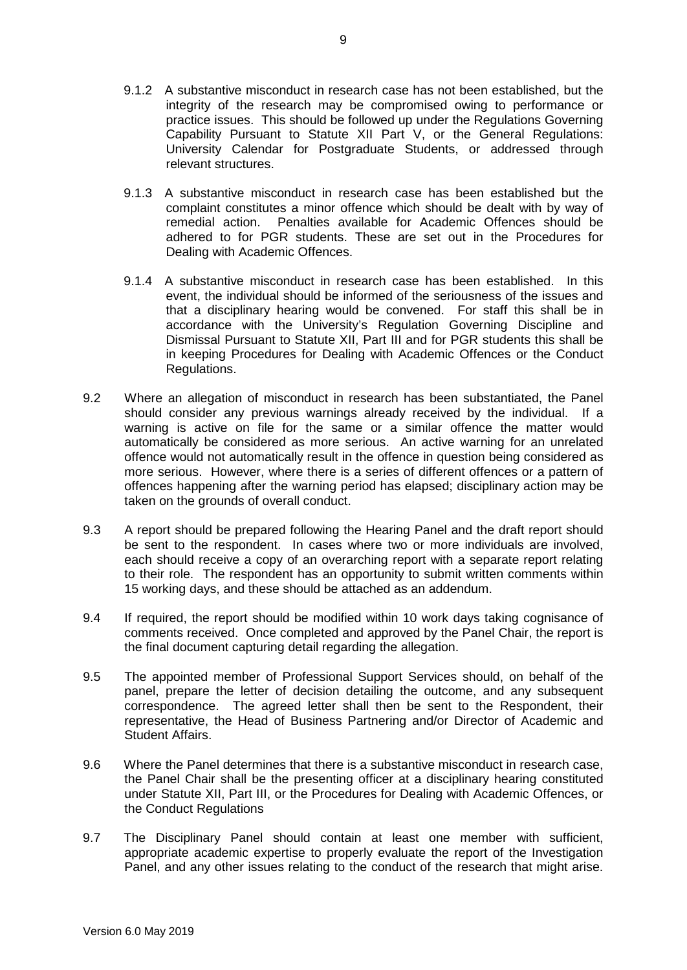- 9.1.2 A substantive misconduct in research case has not been established, but the integrity of the research may be compromised owing to performance or practice issues. This should be followed up under the Regulations Governing Capability Pursuant to Statute XII Part V, or the General Regulations: University Calendar for Postgraduate Students, or addressed through relevant structures.
- 9.1.3 A substantive misconduct in research case has been established but the complaint constitutes a minor offence which should be dealt with by way of remedial action. Penalties available for Academic Offences should be adhered to for PGR students. These are set out in the Procedures for Dealing with Academic Offences.
- 9.1.4 A substantive misconduct in research case has been established. In this event, the individual should be informed of the seriousness of the issues and that a disciplinary hearing would be convened. For staff this shall be in accordance with the University's Regulation Governing Discipline and Dismissal Pursuant to Statute XII, Part III and for PGR students this shall be in keeping Procedures for Dealing with Academic Offences or the Conduct Regulations.
- 9.2 Where an allegation of misconduct in research has been substantiated, the Panel should consider any previous warnings already received by the individual. If a warning is active on file for the same or a similar offence the matter would automatically be considered as more serious. An active warning for an unrelated offence would not automatically result in the offence in question being considered as more serious. However, where there is a series of different offences or a pattern of offences happening after the warning period has elapsed; disciplinary action may be taken on the grounds of overall conduct.
- 9.3 A report should be prepared following the Hearing Panel and the draft report should be sent to the respondent. In cases where two or more individuals are involved, each should receive a copy of an overarching report with a separate report relating to their role. The respondent has an opportunity to submit written comments within 15 working days, and these should be attached as an addendum.
- 9.4 If required, the report should be modified within 10 work days taking cognisance of comments received. Once completed and approved by the Panel Chair, the report is the final document capturing detail regarding the allegation.
- 9.5 The appointed member of Professional Support Services should, on behalf of the panel, prepare the letter of decision detailing the outcome, and any subsequent correspondence. The agreed letter shall then be sent to the Respondent, their representative, the Head of Business Partnering and/or Director of Academic and Student Affairs.
- 9.6 Where the Panel determines that there is a substantive misconduct in research case, the Panel Chair shall be the presenting officer at a disciplinary hearing constituted under Statute XII, Part III, or the Procedures for Dealing with Academic Offences, or the Conduct Regulations
- 9.7 The Disciplinary Panel should contain at least one member with sufficient, appropriate academic expertise to properly evaluate the report of the Investigation Panel, and any other issues relating to the conduct of the research that might arise.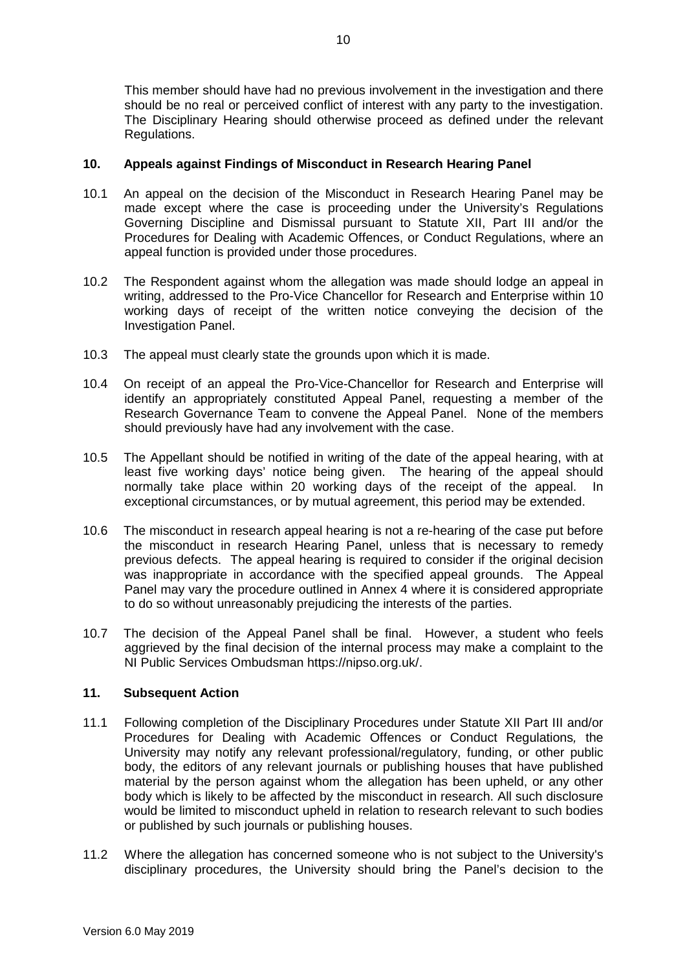This member should have had no previous involvement in the investigation and there should be no real or perceived conflict of interest with any party to the investigation. The Disciplinary Hearing should otherwise proceed as defined under the relevant Regulations.

## **10. Appeals against Findings of Misconduct in Research Hearing Panel**

- 10.1 An appeal on the decision of the Misconduct in Research Hearing Panel may be made except where the case is proceeding under the University's Regulations Governing Discipline and Dismissal pursuant to Statute XII, Part III and/or the Procedures for Dealing with Academic Offences, or Conduct Regulations, where an appeal function is provided under those procedures.
- 10.2 The Respondent against whom the allegation was made should lodge an appeal in writing, addressed to the Pro-Vice Chancellor for Research and Enterprise within 10 working days of receipt of the written notice conveying the decision of the Investigation Panel.
- 10.3 The appeal must clearly state the grounds upon which it is made.
- 10.4 On receipt of an appeal the Pro-Vice-Chancellor for Research and Enterprise will identify an appropriately constituted Appeal Panel, requesting a member of the Research Governance Team to convene the Appeal Panel. None of the members should previously have had any involvement with the case.
- 10.5 The Appellant should be notified in writing of the date of the appeal hearing, with at least five working days' notice being given. The hearing of the appeal should normally take place within 20 working days of the receipt of the appeal. In exceptional circumstances, or by mutual agreement, this period may be extended.
- 10.6 The misconduct in research appeal hearing is not a re-hearing of the case put before the misconduct in research Hearing Panel, unless that is necessary to remedy previous defects. The appeal hearing is required to consider if the original decision was inappropriate in accordance with the specified appeal grounds. The Appeal Panel may vary the procedure outlined in Annex 4 where it is considered appropriate to do so without unreasonably prejudicing the interests of the parties.
- 10.7 The decision of the Appeal Panel shall be final. However, a student who feels aggrieved by the final decision of the internal process may make a complaint to the NI Public Services Ombudsman https://nipso.org.uk/.

# **11. Subsequent Action**

- 11.1 Following completion of the Disciplinary Procedures under Statute XII Part III and/or Procedures for Dealing with Academic Offences or Conduct Regulations*,* the University may notify any relevant professional/regulatory, funding, or other public body, the editors of any relevant journals or publishing houses that have published material by the person against whom the allegation has been upheld, or any other body which is likely to be affected by the misconduct in research. All such disclosure would be limited to misconduct upheld in relation to research relevant to such bodies or published by such journals or publishing houses.
- 11.2 Where the allegation has concerned someone who is not subject to the University's disciplinary procedures, the University should bring the Panel's decision to the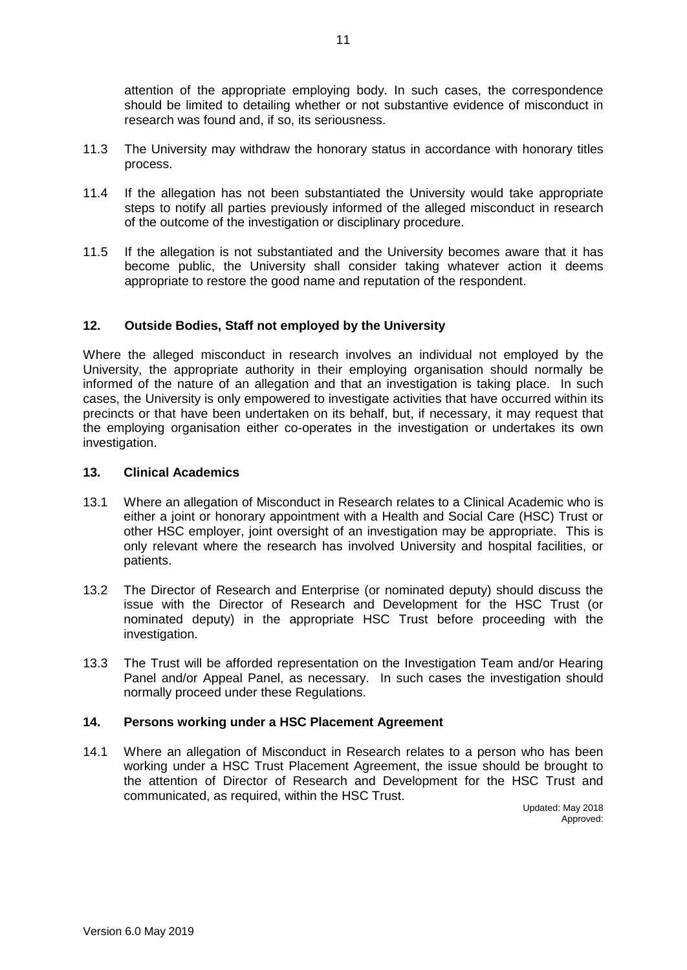attention of the appropriate employing body. In such cases, the correspondence should be limited to detailing whether or not substantive evidence of misconduct in research was found and, if so, its seriousness.

- 11.3 The University may withdraw the honorary status in accordance with honorary titles process.
- 11.4 If the allegation has not been substantiated the University would take appropriate steps to notify all parties previously informed of the alleged misconduct in research of the outcome of the investigation or disciplinary procedure.
- 11.5 If the allegation is not substantiated and the University becomes aware that it has become public, the University shall consider taking whatever action it deems appropriate to restore the good name and reputation of the respondent.

### **12. Outside Bodies, Staff not employed by the University**

Where the alleged misconduct in research involves an individual not employed by the University, the appropriate authority in their employing organisation should normally be informed of the nature of an allegation and that an investigation is taking place. In such cases, the University is only empowered to investigate activities that have occurred within its precincts or that have been undertaken on its behalf, but, if necessary, it may request that the employing organisation either co-operates in the investigation or undertakes its own investigation.

# **13. Clinical Academics**

- 13.1 Where an allegation of Misconduct in Research relates to a Clinical Academic who is either a joint or honorary appointment with a Health and Social Care (HSC) Trust or other HSC employer, joint oversight of an investigation may be appropriate. This is only relevant where the research has involved University and hospital facilities, or patients.
- 13.2 The Director of Research and Enterprise (or nominated deputy) should discuss the issue with the Director of Research and Development for the HSC Trust (or nominated deputy) in the appropriate HSC Trust before proceeding with the investigation.
- 13.3 The Trust will be afforded representation on the Investigation Team and/or Hearing Panel and/or Appeal Panel, as necessary. In such cases the investigation should normally proceed under these Regulations.

### **14. Persons working under a HSC Placement Agreement**

14.1 Where an allegation of Misconduct in Research relates to a person who has been working under a HSC Trust Placement Agreement, the issue should be brought to the attention of Director of Research and Development for the HSC Trust and communicated, as required, within the HSC Trust.

Updated: May 2018 Approved: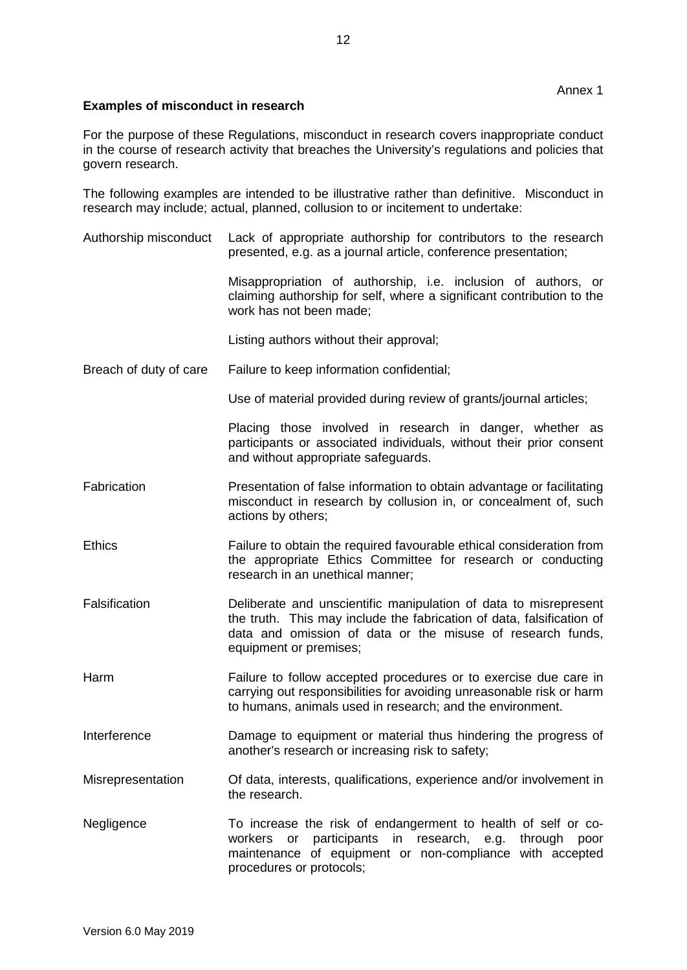# **Examples of misconduct in research**

For the purpose of these Regulations, misconduct in research covers inappropriate conduct in the course of research activity that breaches the University's regulations and policies that govern research.

The following examples are intended to be illustrative rather than definitive. Misconduct in research may include; actual, planned, collusion to or incitement to undertake:

Authorship misconduct Lack of appropriate authorship for contributors to the research presented, e.g. as a journal article, conference presentation;

> Misappropriation of authorship, i.e. inclusion of authors, or claiming authorship for self, where a significant contribution to the work has not been made;

Listing authors without their approval;

Breach of duty of care Failure to keep information confidential;

Use of material provided during review of grants/journal articles;

Placing those involved in research in danger, whether as participants or associated individuals, without their prior consent and without appropriate safeguards.

- Fabrication **Presentation of false information to obtain advantage or facilitating** misconduct in research by collusion in, or concealment of, such actions by others;
- Ethics Failure to obtain the required favourable ethical consideration from the appropriate Ethics Committee for research or conducting research in an unethical manner;
- Falsification Deliberate and unscientific manipulation of data to misrepresent the truth. This may include the fabrication of data, falsification of data and omission of data or the misuse of research funds, equipment or premises;
- Harm Failure to follow accepted procedures or to exercise due care in carrying out responsibilities for avoiding unreasonable risk or harm to humans, animals used in research; and the environment.
- Interference Damage to equipment or material thus hindering the progress of another's research or increasing risk to safety;
- Misrepresentation Of data, interests, qualifications, experience and/or involvement in the research.
- Negligence To increase the risk of endangerment to health of self or coworkers or participants in research, e.g. through poor maintenance of equipment or non-compliance with accepted procedures or protocols;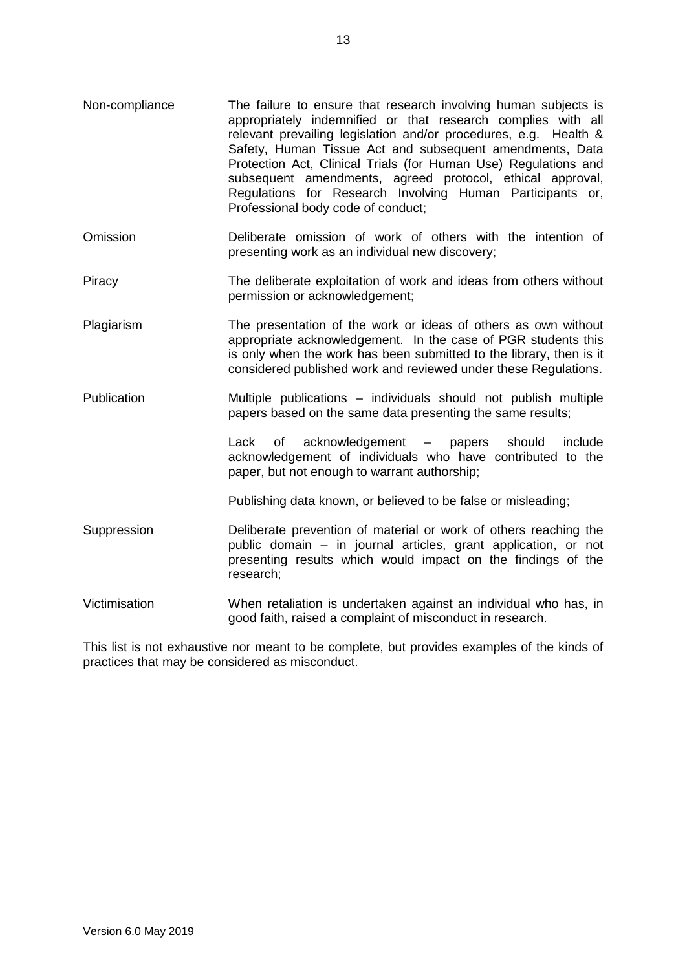- Omission Deliberate omission of work of others with the intention of presenting work as an individual new discovery;
- Piracy The deliberate exploitation of work and ideas from others without permission or acknowledgement;
- Plagiarism The presentation of the work or ideas of others as own without appropriate acknowledgement. In the case of PGR students this is only when the work has been submitted to the library, then is it considered published work and reviewed under these Regulations.
- Publication Multiple publications individuals should not publish multiple papers based on the same data presenting the same results;

Lack of acknowledgement – papers should include acknowledgement of individuals who have contributed to the paper, but not enough to warrant authorship;

Publishing data known, or believed to be false or misleading;

- Suppression Deliberate prevention of material or work of others reaching the public domain – in journal articles, grant application, or not presenting results which would impact on the findings of the research;
- Victimisation When retaliation is undertaken against an individual who has, in good faith, raised a complaint of misconduct in research.

This list is not exhaustive nor meant to be complete, but provides examples of the kinds of practices that may be considered as misconduct.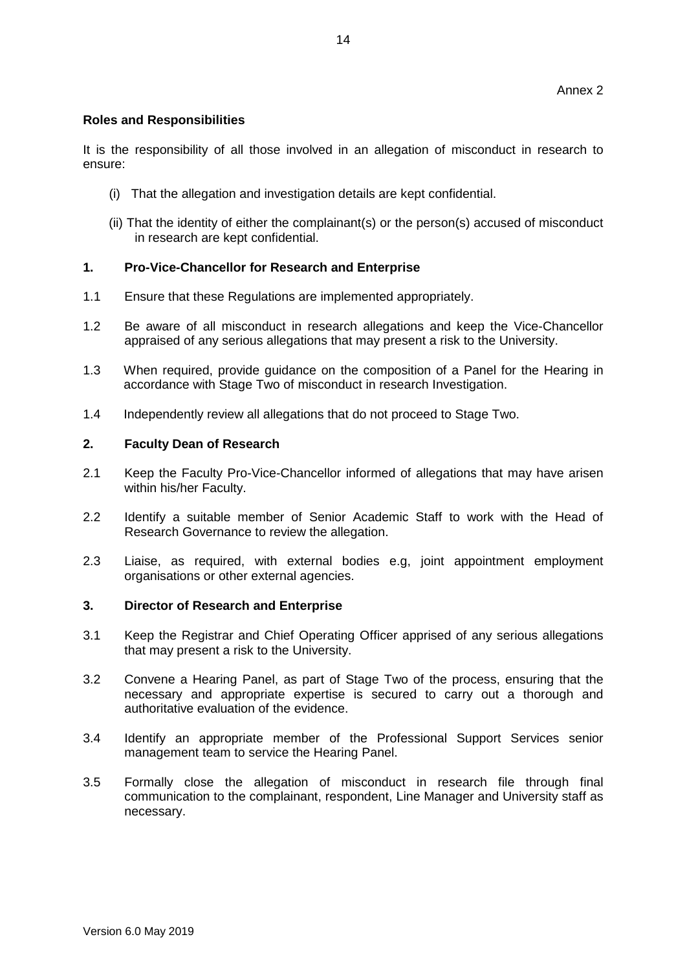# **Roles and Responsibilities**

It is the responsibility of all those involved in an allegation of misconduct in research to ensure:

- (i) That the allegation and investigation details are kept confidential.
- (ii) That the identity of either the complainant(s) or the person(s) accused of misconduct in research are kept confidential.

# **1. Pro-Vice-Chancellor for Research and Enterprise**

- 1.1 Ensure that these Regulations are implemented appropriately.
- 1.2 Be aware of all misconduct in research allegations and keep the Vice-Chancellor appraised of any serious allegations that may present a risk to the University.
- 1.3 When required, provide guidance on the composition of a Panel for the Hearing in accordance with Stage Two of misconduct in research Investigation.
- 1.4 Independently review all allegations that do not proceed to Stage Two.

# **2. Faculty Dean of Research**

- 2.1 Keep the Faculty Pro-Vice-Chancellor informed of allegations that may have arisen within his/her Faculty.
- 2.2 Identify a suitable member of Senior Academic Staff to work with the Head of Research Governance to review the allegation.
- 2.3 Liaise, as required, with external bodies e.g, joint appointment employment organisations or other external agencies.

# **3. Director of Research and Enterprise**

- 3.1 Keep the Registrar and Chief Operating Officer apprised of any serious allegations that may present a risk to the University.
- 3.2 Convene a Hearing Panel, as part of Stage Two of the process, ensuring that the necessary and appropriate expertise is secured to carry out a thorough and authoritative evaluation of the evidence.
- 3.4 Identify an appropriate member of the Professional Support Services senior management team to service the Hearing Panel.
- 3.5 Formally close the allegation of misconduct in research file through final communication to the complainant, respondent, Line Manager and University staff as necessary.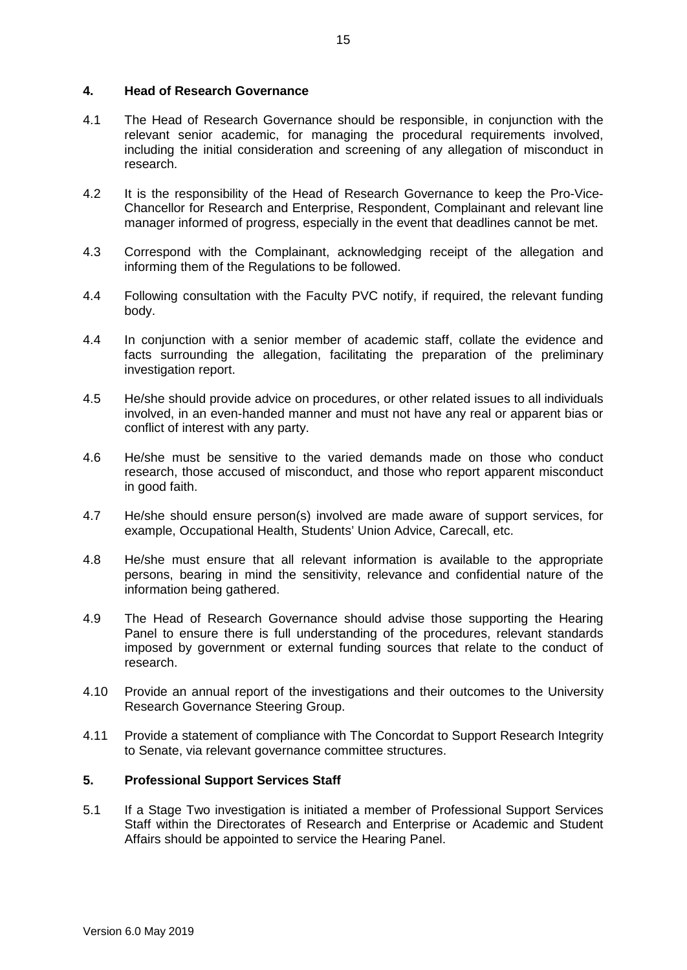### **4. Head of Research Governance**

- 4.1 The Head of Research Governance should be responsible, in conjunction with the relevant senior academic, for managing the procedural requirements involved, including the initial consideration and screening of any allegation of misconduct in research.
- 4.2 It is the responsibility of the Head of Research Governance to keep the Pro-Vice-Chancellor for Research and Enterprise, Respondent, Complainant and relevant line manager informed of progress, especially in the event that deadlines cannot be met.
- 4.3 Correspond with the Complainant, acknowledging receipt of the allegation and informing them of the Regulations to be followed.
- 4.4 Following consultation with the Faculty PVC notify, if required, the relevant funding body.
- 4.4 In conjunction with a senior member of academic staff, collate the evidence and facts surrounding the allegation, facilitating the preparation of the preliminary investigation report.
- 4.5 He/she should provide advice on procedures, or other related issues to all individuals involved, in an even-handed manner and must not have any real or apparent bias or conflict of interest with any party.
- 4.6 He/she must be sensitive to the varied demands made on those who conduct research, those accused of misconduct, and those who report apparent misconduct in good faith.
- 4.7 He/she should ensure person(s) involved are made aware of support services, for example, Occupational Health, Students' Union Advice, Carecall, etc.
- 4.8 He/she must ensure that all relevant information is available to the appropriate persons, bearing in mind the sensitivity, relevance and confidential nature of the information being gathered.
- 4.9 The Head of Research Governance should advise those supporting the Hearing Panel to ensure there is full understanding of the procedures, relevant standards imposed by government or external funding sources that relate to the conduct of research.
- 4.10 Provide an annual report of the investigations and their outcomes to the University Research Governance Steering Group.
- 4.11 Provide a statement of compliance with The Concordat to Support Research Integrity to Senate, via relevant governance committee structures.

# **5. Professional Support Services Staff**

5.1 If a Stage Two investigation is initiated a member of Professional Support Services Staff within the Directorates of Research and Enterprise or Academic and Student Affairs should be appointed to service the Hearing Panel.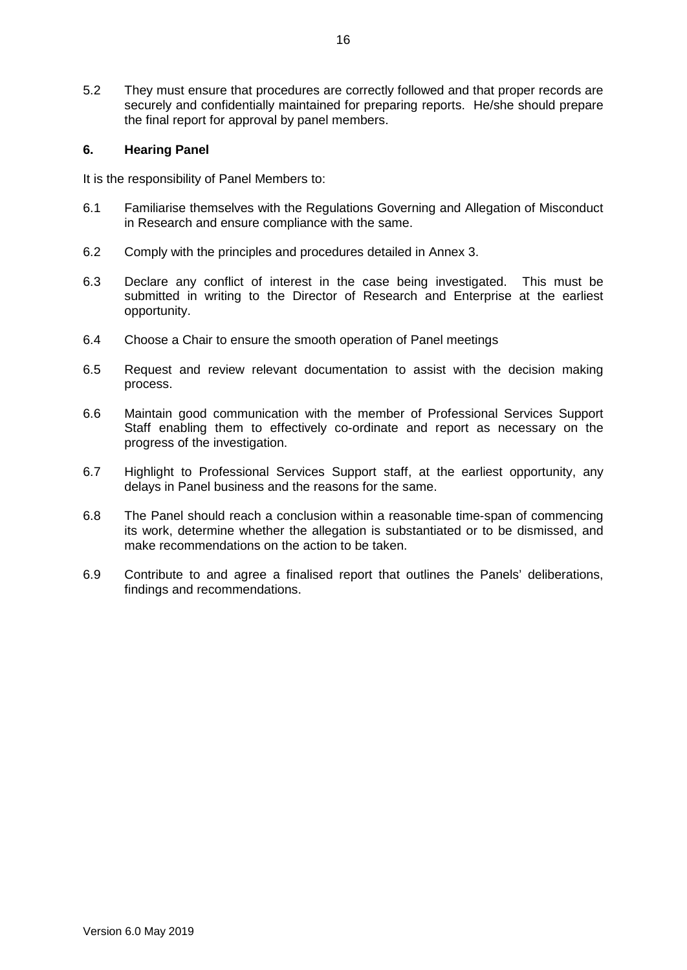5.2 They must ensure that procedures are correctly followed and that proper records are securely and confidentially maintained for preparing reports. He/she should prepare the final report for approval by panel members.

## **6. Hearing Panel**

It is the responsibility of Panel Members to:

- 6.1 Familiarise themselves with the Regulations Governing and Allegation of Misconduct in Research and ensure compliance with the same.
- 6.2 Comply with the principles and procedures detailed in Annex 3.
- 6.3 Declare any conflict of interest in the case being investigated. This must be submitted in writing to the Director of Research and Enterprise at the earliest opportunity.
- 6.4 Choose a Chair to ensure the smooth operation of Panel meetings
- 6.5 Request and review relevant documentation to assist with the decision making process.
- 6.6 Maintain good communication with the member of Professional Services Support Staff enabling them to effectively co-ordinate and report as necessary on the progress of the investigation.
- 6.7 Highlight to Professional Services Support staff, at the earliest opportunity, any delays in Panel business and the reasons for the same.
- 6.8 The Panel should reach a conclusion within a reasonable time-span of commencing its work, determine whether the allegation is substantiated or to be dismissed, and make recommendations on the action to be taken.
- 6.9 Contribute to and agree a finalised report that outlines the Panels' deliberations, findings and recommendations.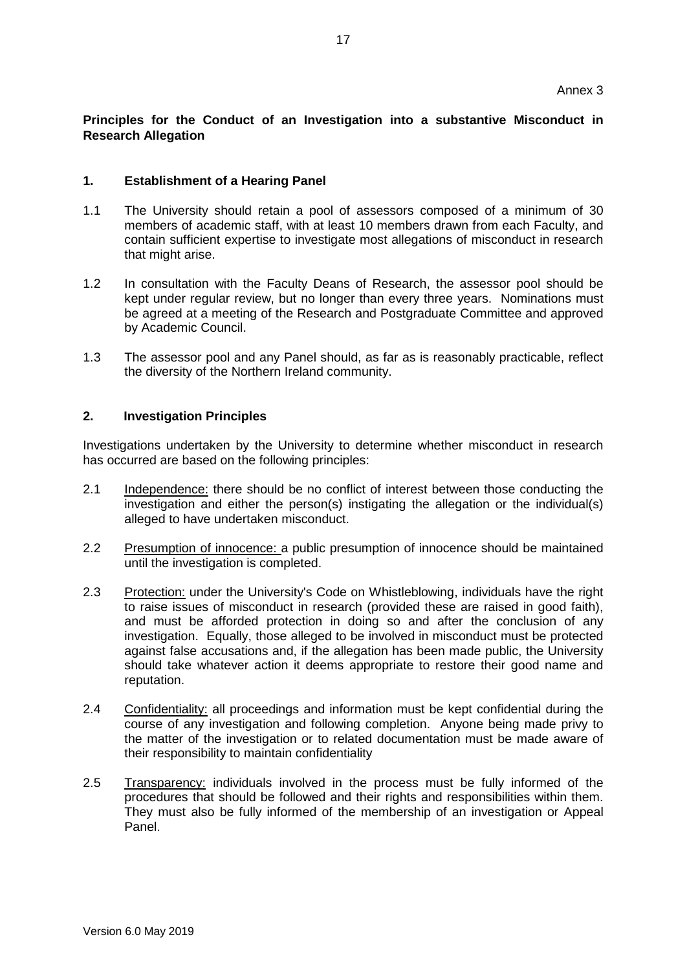# **Principles for the Conduct of an Investigation into a substantive Misconduct in Research Allegation**

### **1. Establishment of a Hearing Panel**

- 1.1 The University should retain a pool of assessors composed of a minimum of 30 members of academic staff, with at least 10 members drawn from each Faculty, and contain sufficient expertise to investigate most allegations of misconduct in research that might arise.
- 1.2 In consultation with the Faculty Deans of Research, the assessor pool should be kept under regular review, but no longer than every three years. Nominations must be agreed at a meeting of the Research and Postgraduate Committee and approved by Academic Council.
- 1.3 The assessor pool and any Panel should, as far as is reasonably practicable, reflect the diversity of the Northern Ireland community.

### **2. Investigation Principles**

Investigations undertaken by the University to determine whether misconduct in research has occurred are based on the following principles:

- 2.1 Independence: there should be no conflict of interest between those conducting the investigation and either the person(s) instigating the allegation or the individual(s) alleged to have undertaken misconduct.
- 2.2 Presumption of innocence: a public presumption of innocence should be maintained until the investigation is completed.
- 2.3 Protection: under the University's Code on Whistleblowing, individuals have the right to raise issues of misconduct in research (provided these are raised in good faith), and must be afforded protection in doing so and after the conclusion of any investigation. Equally, those alleged to be involved in misconduct must be protected against false accusations and, if the allegation has been made public, the University should take whatever action it deems appropriate to restore their good name and reputation.
- 2.4 Confidentiality: all proceedings and information must be kept confidential during the course of any investigation and following completion. Anyone being made privy to the matter of the investigation or to related documentation must be made aware of their responsibility to maintain confidentiality
- 2.5 Transparency: individuals involved in the process must be fully informed of the procedures that should be followed and their rights and responsibilities within them. They must also be fully informed of the membership of an investigation or Appeal Panel.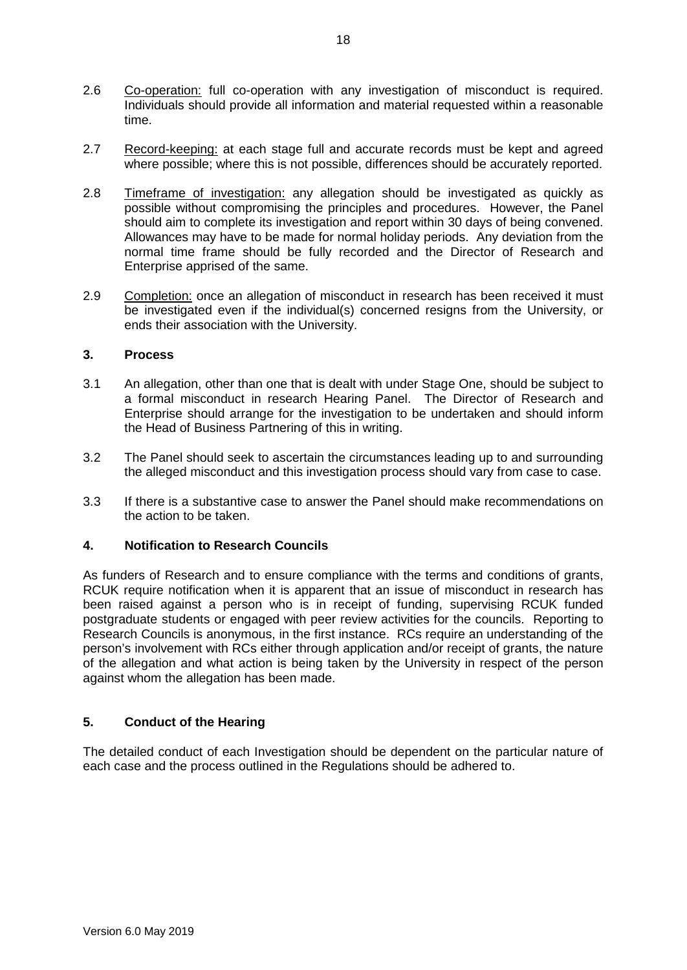- 2.6 Co-operation: full co-operation with any investigation of misconduct is required. Individuals should provide all information and material requested within a reasonable time.
- 2.7 Record-keeping: at each stage full and accurate records must be kept and agreed where possible; where this is not possible, differences should be accurately reported.
- 2.8 Timeframe of investigation: any allegation should be investigated as quickly as possible without compromising the principles and procedures. However, the Panel should aim to complete its investigation and report within 30 days of being convened. Allowances may have to be made for normal holiday periods. Any deviation from the normal time frame should be fully recorded and the Director of Research and Enterprise apprised of the same.
- 2.9 Completion: once an allegation of misconduct in research has been received it must be investigated even if the individual(s) concerned resigns from the University, or ends their association with the University.

# **3. Process**

- 3.1 An allegation, other than one that is dealt with under Stage One, should be subject to a formal misconduct in research Hearing Panel. The Director of Research and Enterprise should arrange for the investigation to be undertaken and should inform the Head of Business Partnering of this in writing.
- 3.2 The Panel should seek to ascertain the circumstances leading up to and surrounding the alleged misconduct and this investigation process should vary from case to case.
- 3.3 If there is a substantive case to answer the Panel should make recommendations on the action to be taken.

# **4. Notification to Research Councils**

As funders of Research and to ensure compliance with the terms and conditions of grants, RCUK require notification when it is apparent that an issue of misconduct in research has been raised against a person who is in receipt of funding, supervising RCUK funded postgraduate students or engaged with peer review activities for the councils. Reporting to Research Councils is anonymous, in the first instance. RCs require an understanding of the person's involvement with RCs either through application and/or receipt of grants, the nature of the allegation and what action is being taken by the University in respect of the person against whom the allegation has been made.

# **5. Conduct of the Hearing**

The detailed conduct of each Investigation should be dependent on the particular nature of each case and the process outlined in the Regulations should be adhered to.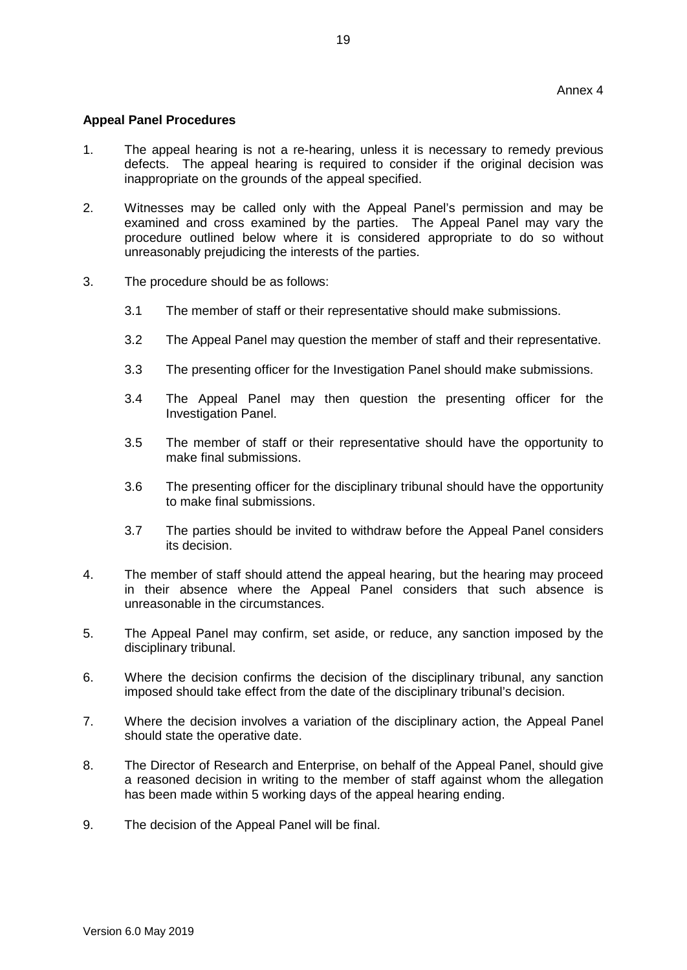## **Appeal Panel Procedures**

- 1. The appeal hearing is not a re-hearing, unless it is necessary to remedy previous defects. The appeal hearing is required to consider if the original decision was inappropriate on the grounds of the appeal specified.
- 2. Witnesses may be called only with the Appeal Panel's permission and may be examined and cross examined by the parties. The Appeal Panel may vary the procedure outlined below where it is considered appropriate to do so without unreasonably prejudicing the interests of the parties.
- 3. The procedure should be as follows:
	- 3.1 The member of staff or their representative should make submissions.
	- 3.2 The Appeal Panel may question the member of staff and their representative.
	- 3.3 The presenting officer for the Investigation Panel should make submissions.
	- 3.4 The Appeal Panel may then question the presenting officer for the Investigation Panel.
	- 3.5 The member of staff or their representative should have the opportunity to make final submissions.
	- 3.6 The presenting officer for the disciplinary tribunal should have the opportunity to make final submissions.
	- 3.7 The parties should be invited to withdraw before the Appeal Panel considers its decision.
- 4. The member of staff should attend the appeal hearing, but the hearing may proceed in their absence where the Appeal Panel considers that such absence is unreasonable in the circumstances.
- 5. The Appeal Panel may confirm, set aside, or reduce, any sanction imposed by the disciplinary tribunal.
- 6. Where the decision confirms the decision of the disciplinary tribunal, any sanction imposed should take effect from the date of the disciplinary tribunal's decision.
- 7. Where the decision involves a variation of the disciplinary action, the Appeal Panel should state the operative date.
- 8. The Director of Research and Enterprise, on behalf of the Appeal Panel, should give a reasoned decision in writing to the member of staff against whom the allegation has been made within 5 working days of the appeal hearing ending.
- 9. The decision of the Appeal Panel will be final.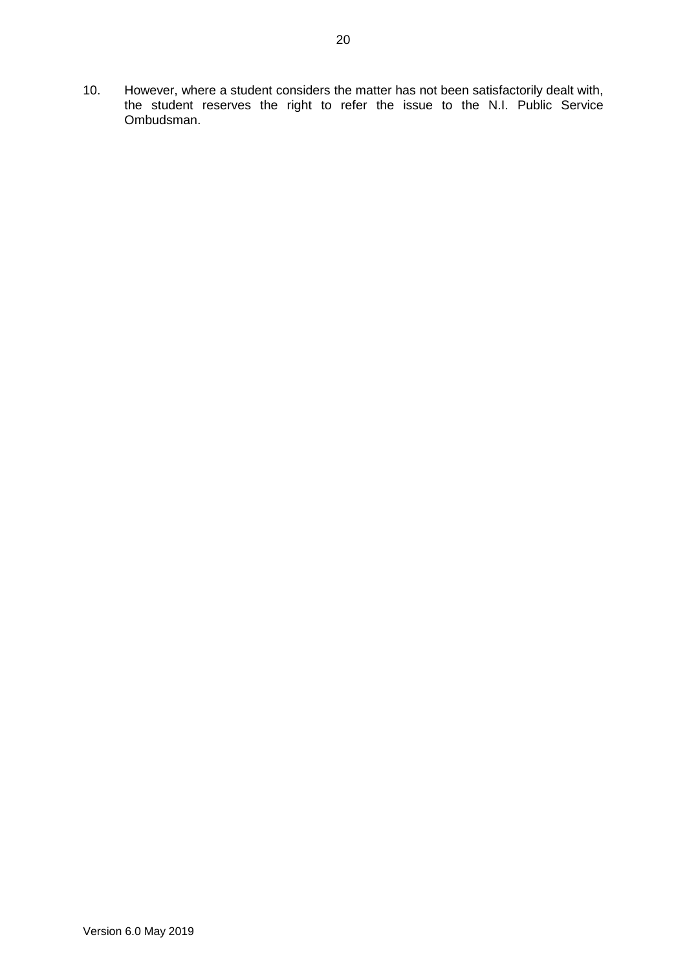10. However, where a student considers the matter has not been satisfactorily dealt with, the student reserves the right to refer the issue to the N.I. Public Service Ombudsman.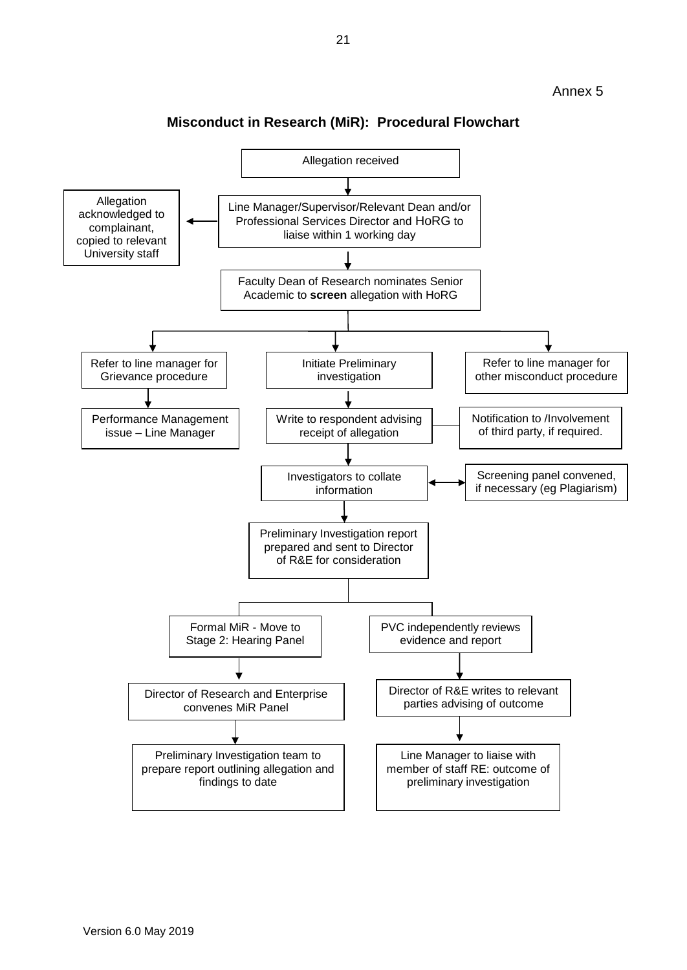

**Misconduct in Research (MiR): Procedural Flowchart**